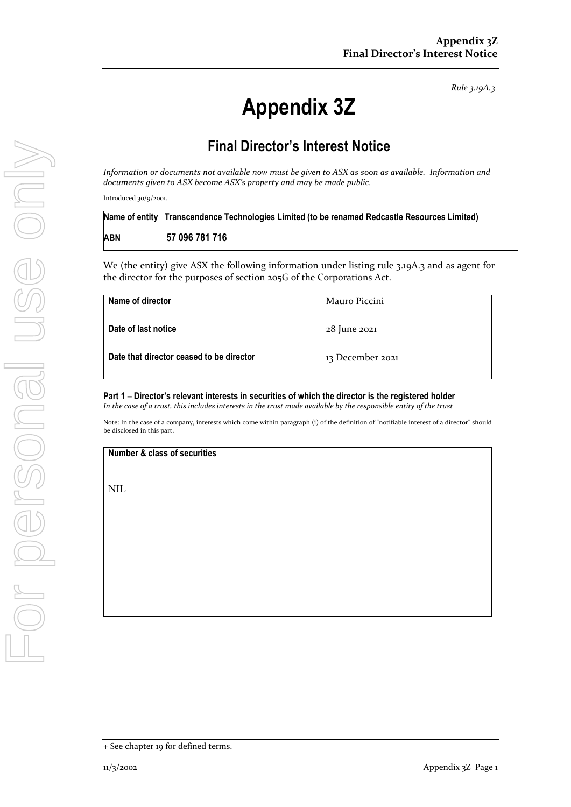*Rule 3.19A.3*

# **Appendix 3Z**

## **Final Director's Interest Notice**

*Information or documents not available now must be given to ASX as soon as available. Information and documents given to ASX become ASX's property and may be made public.*

Introduced 30/9/2001.

|     | Name of entity Transcendence Technologies Limited (to be renamed Redcastle Resources Limited) |  |
|-----|-----------------------------------------------------------------------------------------------|--|
| ABN | 57 096 781 716                                                                                |  |
|     |                                                                                               |  |

We (the entity) give ASX the following information under listing rule 3.19A.3 and as agent for the director for the purposes of section 205G of the Corporations Act.

| Name of director                         | Mauro Piccini    |
|------------------------------------------|------------------|
| Date of last notice                      | 28 June 2021     |
| Date that director ceased to be director | 13 December 2021 |

### **Part 1 – Director's relevant interests in securities of which the director is the registered holder**

*In the case of a trust, this includes interests in the trust made available by the responsible entity of the trust*

Note: In the case of a company, interests which come within paragraph (i) of the definition of "notifiable interest of a director" should be disclosed in this part.

#### **Number & class of securities**

NIL

<sup>+</sup> See chapter 19 for defined terms.